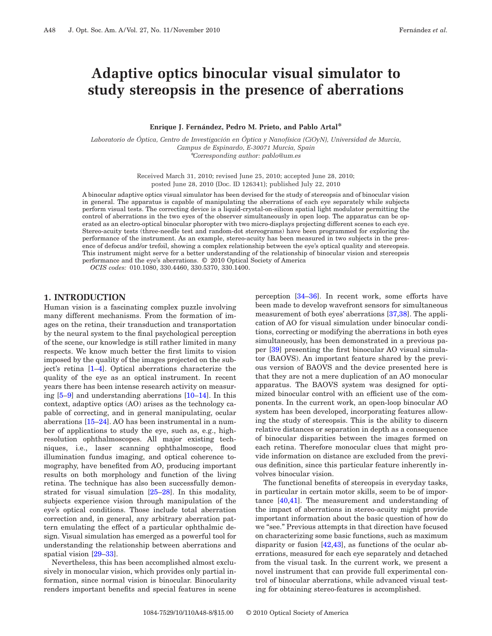# **Adaptive optics binocular visual simulator to study stereopsis in the presence of aberrations**

#### **Enrique J. Fernández, Pedro M. Prieto, and Pablo Artal\***

*Laboratorio de Óptica, Centro de Investigación en Óptica y Nanofísica (CiOyN), Universidad de Murcia, Campus de Espinardo, E-30071 Murcia, Spain* \**Corresponding author: pablo@um.es*

> Received March 31, 2010; revised June 25, 2010; accepted June 28, 2010; posted June 28, 2010 (Doc. ID 126341); published July 22, 2010

A binocular adaptive optics visual simulator has been devised for the study of stereopsis and of binocular vision in general. The apparatus is capable of manipulating the aberrations of each eye separately while subjects perform visual tests. The correcting device is a liquid-crystal-on-silicon spatial light modulator permitting the control of aberrations in the two eyes of the observer simultaneously in open loop. The apparatus can be operated as an electro-optical binocular phoropter with two micro-displays projecting different scenes to each eye. Stereo-acuity tests (three-needle test and random-dot stereograms) have been programmed for exploring the performance of the instrument. As an example, stereo-acuity has been measured in two subjects in the presence of defocus and/or trefoil, showing a complex relationship between the eye's optical quality and stereopsis. This instrument might serve for a better understanding of the relationship of binocular vision and stereopsis performance and the eye's aberrations. © 2010 Optical Society of America

*OCIS codes:* 010.1080, 330.4460, 330.5370, 330.1400.

#### **1. INTRODUCTION**

Human vision is a fascinating complex puzzle involving many different mechanisms. From the formation of images on the retina, their transduction and transportation by the neural system to the final psychological perception of the scene, our knowledge is still rather limited in many respects. We know much better the first limits to vision imposed by the quality of the images projected on the subject's retina [\[1](#page-6-0)[–4\]](#page-6-1). Optical aberrations characterize the quality of the eye as an optical instrument. In recent years there has been intense research activity on measuring [\[5–](#page-6-2)[9\]](#page-6-3) and understanding aberrations [\[10](#page-6-4)[–14\]](#page-6-5). In this context, adaptive optics (AO) arises as the technology capable of correcting, and in general manipulating, ocular aberrations [\[15](#page-6-6)[–24\]](#page-6-7). AO has been instrumental in a number of applications to study the eye, such as, e.g., highresolution ophthalmoscopes. All major existing techniques, i.e., laser scanning ophthalmoscope, flood illumination fundus imaging, and optical coherence tomography, have benefited from AO, producing important results on both morphology and function of the living retina. The technique has also been successfully demonstrated for visual simulation [\[25–](#page-6-8)[28\]](#page-6-9). In this modality, subjects experience vision through manipulation of the eye's optical conditions. Those include total aberration correction and, in general, any arbitrary aberration pattern emulating the effect of a particular ophthalmic design. Visual simulation has emerged as a powerful tool for understanding the relationship between aberrations and spatial vision [\[29–](#page-6-10)[33\]](#page-6-11).

Nevertheless, this has been accomplished almost exclusively in monocular vision, which provides only partial information, since normal vision is binocular. Binocularity renders important benefits and special features in scene

perception [\[34–](#page-6-12)[36\]](#page-6-13). In recent work, some efforts have been made to develop wavefront sensors for simultaneous measurement of both eyes' aberrations [\[37](#page-6-14)[,38\]](#page-6-15). The application of AO for visual simulation under binocular conditions, correcting or modifying the aberrations in both eyes simultaneously, has been demonstrated in a previous paper [\[39\]](#page-7-0) presenting the first binocular AO visual simulator (BAOVS). An important feature shared by the previous version of BAOVS and the device presented here is that they are not a mere duplication of an AO monocular apparatus. The BAOVS system was designed for optimized binocular control with an efficient use of the components. In the current work, an open-loop binocular AO system has been developed, incorporating features allowing the study of stereopsis. This is the ability to discern relative distances or separation in depth as a consequence of binocular disparities between the images formed on each retina. Therefore monocular clues that might provide information on distance are excluded from the previous definition, since this particular feature inherently involves binocular vision.

The functional benefits of stereopsis in everyday tasks, in particular in certain motor skills, seem to be of importance [\[40,](#page-7-1)[41\]](#page-7-2). The measurement and understanding of the impact of aberrations in stereo-acuity might provide important information about the basic question of how do we "see." Previous attempts in that direction have focused on characterizing some basic functions, such as maximum disparity or fusion [\[42](#page-7-3)[,43\]](#page-7-4), as functions of the ocular aberrations, measured for each eye separately and detached from the visual task. In the current work, we present a novel instrument that can provide full experimental control of binocular aberrations, while advanced visual testing for obtaining stereo-features is accomplished.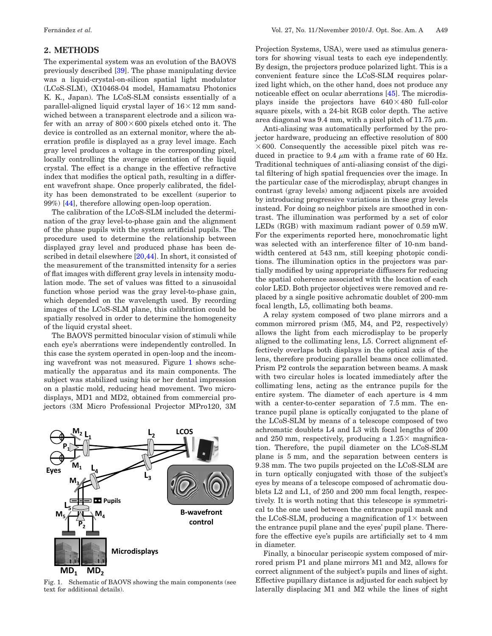## **2. METHODS**

The experimental system was an evolution of the BAOVS previously described [\[39\]](#page-7-0). The phase manipulating device was a liquid-crystal-on-silicon spatial light modulator (LCoS-SLM), (X10468-04 model, Hamamatsu Photonics K. K., Japan). The LCoS-SLM consists essentially of a parallel-aligned liquid crystal layer of  $16\times12$  mm sandwiched between a transparent electrode and a silicon wafer with an array of  $800\times600$  pixels etched onto it. The device is controlled as an external monitor, where the aberration profile is displayed as a gray level image. Each gray level produces a voltage in the corresponding pixel, locally controlling the average orientation of the liquid crystal. The effect is a change in the effective refractive index that modifies the optical path, resulting in a different wavefront shape. Once properly calibrated, the fidelity has been demonstrated to be excellent (superior to 99%) [\[44\]](#page-7-5), therefore allowing open-loop operation.

The calibration of the LCoS-SLM included the determination of the gray level-to-phase gain and the alignment of the phase pupils with the system artificial pupils. The procedure used to determine the relationship between displayed gray level and produced phase has been de-scribed in detail elsewhere [\[20,](#page-6-16)[44\]](#page-7-5). In short, it consisted of the measurement of the transmitted intensity for a series of flat images with different gray levels in intensity modulation mode. The set of values was fitted to a sinusoidal function whose period was the gray level-to-phase gain, which depended on the wavelength used. By recording images of the LCoS-SLM plane, this calibration could be spatially resolved in order to determine the homogeneity of the liquid crystal sheet.

The BAOVS permitted binocular vision of stimuli while each eye's aberrations were independently controlled. In this case the system operated in open-loop and the incoming wavefront was not measured. Figure [1](#page-1-0) shows schematically the apparatus and its main components. The subject was stabilized using his or her dental impression on a plastic mold, reducing head movement. Two microdisplays, MD1 and MD2, obtained from commercial projectors (3M Micro Professional Projector MPro120, 3M

<span id="page-1-0"></span>

Fig. 1. Schematic of BAOVS showing the main components (see text for additional details).

Projection Systems, USA), were used as stimulus generators for showing visual tests to each eye independently. By design, the projectors produce polarized light. This is a convenient feature since the LCoS-SLM requires polarized light which, on the other hand, does not produce any noticeable effect on ocular aberrations [\[45\]](#page-7-6). The microdisplays inside the projectors have  $640\times480$  full-color square pixels, with a 24-bit RGB color depth. The active area diagonal was 9.4 mm, with a pixel pitch of 11.75  $\mu$ m.

Anti-aliasing was automatically performed by the projector hardware, producing an effective resolution of 800  $\times$  600. Consequently the accessible pixel pitch was reduced in practice to 9.4  $\mu$ m with a frame rate of 60 Hz. Traditional techniques of anti-aliasing consist of the digital filtering of high spatial frequencies over the image. In the particular case of the microdisplay, abrupt changes in contrast (gray levels) among adjacent pixels are avoided by introducing progressive variations in these gray levels instead. For doing so neighbor pixels are smoothed in contrast. The illumination was performed by a set of color LEDs (RGB) with maximum radiant power of 0.59 mW. For the experiments reported here, monochromatic light was selected with an interference filter of 10-nm bandwidth centered at 543 nm, still keeping photopic conditions. The illumination optics in the projectors was partially modified by using appropriate diffusers for reducing the spatial coherence associated with the location of each color LED. Both projector objectives were removed and replaced by a single positive achromatic doublet of 200-mm focal length, L5, collimating both beams.

A relay system composed of two plane mirrors and a common mirrored prism (M5, M4, and P2, respectively) allows the light from each microdisplay to be properly aligned to the collimating lens, L5. Correct alignment effectively overlaps both displays in the optical axis of the lens, therefore producing parallel beams once collimated. Prism P2 controls the separation between beams. A mask with two circular holes is located immediately after the collimating lens, acting as the entrance pupils for the entire system. The diameter of each aperture is 4 mm with a center-to-center separation of 7.5 mm. The entrance pupil plane is optically conjugated to the plane of the LCoS-SLM by means of a telescope composed of two achromatic doublets L4 and L3 with focal lengths of 200 and 250 mm, respectively, producing a  $1.25\times$  magnification. Therefore, the pupil diameter on the LCoS-SLM plane is 5 mm, and the separation between centers is 9.38 mm. The two pupils projected on the LCoS-SLM are in turn optically conjugated with those of the subject's eyes by means of a telescope composed of achromatic doublets L2 and L1, of 250 and 200 mm focal length, respectively. It is worth noting that this telescope is symmetrical to the one used between the entrance pupil mask and the LCoS-SLM, producing a magnification of  $1\times$  between the entrance pupil plane and the eyes' pupil plane. Therefore the effective eye's pupils are artificially set to 4 mm in diameter.

Finally, a binocular periscopic system composed of mirrored prism P1 and plane mirrors M1 and M2, allows for correct alignment of the subject's pupils and lines of sight. Effective pupillary distance is adjusted for each subject by laterally displacing M1 and M2 while the lines of sight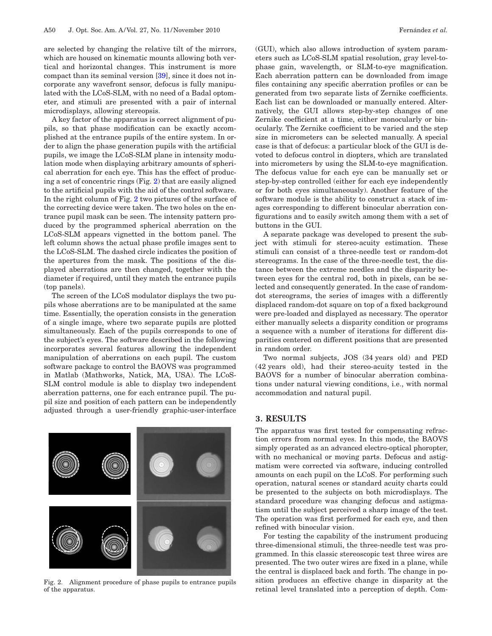are selected by changing the relative tilt of the mirrors, which are housed on kinematic mounts allowing both vertical and horizontal changes. This instrument is more compact than its seminal version [\[39\]](#page-7-0), since it does not incorporate any wavefront sensor, defocus is fully manipulated with the LCoS-SLM, with no need of a Badal optometer, and stimuli are presented with a pair of internal microdisplays, allowing stereopsis.

A key factor of the apparatus is correct alignment of pupils, so that phase modification can be exactly accomplished at the entrance pupils of the entire system. In order to align the phase generation pupils with the artificial pupils, we image the LCoS-SLM plane in intensity modulation mode when displaying arbitrary amounts of spherical aberration for each eye. This has the effect of producing a set of concentric rings (Fig. [2\)](#page-2-0) that are easily aligned to the artificial pupils with the aid of the control software. In the right column of Fig. [2](#page-2-0) two pictures of the surface of the correcting device were taken. The two holes on the entrance pupil mask can be seen. The intensity pattern produced by the programmed spherical aberration on the LCoS-SLM appears vignetted in the bottom panel. The left column shows the actual phase profile images sent to the LCoS-SLM. The dashed circle indicates the position of the apertures from the mask. The positions of the displayed aberrations are then changed, together with the diameter if required, until they match the entrance pupils (top panels).

The screen of the LCoS modulator displays the two pupils whose aberrations are to be manipulated at the same time. Essentially, the operation consists in the generation of a single image, where two separate pupils are plotted simultaneously. Each of the pupils corresponds to one of the subject's eyes. The software described in the following incorporates several features allowing the independent manipulation of aberrations on each pupil. The custom software package to control the BAOVS was programmed in Matlab (Mathworks, Natick, MA, USA). The LCoS-SLM control module is able to display two independent aberration patterns, one for each entrance pupil. The pupil size and position of each pattern can be independently adjusted through a user-friendly graphic-user-interface

<span id="page-2-0"></span>

Fig. 2. Alignment procedure of phase pupils to entrance pupils of the apparatus.

(GUI), which also allows introduction of system parameters such as LCoS-SLM spatial resolution, gray level-tophase gain, wavelength, or SLM-to-eye magnification. Each aberration pattern can be downloaded from image files containing any specific aberration profiles or can be generated from two separate lists of Zernike coefficients. Each list can be downloaded or manually entered. Alternatively, the GUI allows step-by-step changes of one Zernike coefficient at a time, either monocularly or binocularly. The Zernike coefficient to be varied and the step size in micrometers can be selected manually. A special case is that of defocus: a particular block of the GUI is devoted to defocus control in diopters, which are translated into micrometers by using the SLM-to-eye magnification. The defocus value for each eye can be manually set or step-by-step controlled (either for each eye independently or for both eyes simultaneously). Another feature of the software module is the ability to construct a stack of images corresponding to different binocular aberration configurations and to easily switch among them with a set of buttons in the GUI.

A separate package was developed to present the subject with stimuli for stereo-acuity estimation. These stimuli can consist of a three-needle test or random-dot stereograms. In the case of the three-needle test, the distance between the extreme needles and the disparity between eyes for the central rod, both in pixels, can be selected and consequently generated. In the case of randomdot stereograms, the series of images with a differently displaced random-dot square on top of a fixed background were pre-loaded and displayed as necessary. The operator either manually selects a disparity condition or programs a sequence with a number of iterations for different disparities centered on different positions that are presented in random order.

Two normal subjects, JOS (34 years old) and PED (42 years old), had their stereo-acuity tested in the BAOVS for a number of binocular aberration combinations under natural viewing conditions, i.e., with normal accommodation and natural pupil.

#### **3. RESULTS**

The apparatus was first tested for compensating refraction errors from normal eyes. In this mode, the BAOVS simply operated as an advanced electro-optical phoropter, with no mechanical or moving parts. Defocus and astigmatism were corrected via software, inducing controlled amounts on each pupil on the LCoS. For performing such operation, natural scenes or standard acuity charts could be presented to the subjects on both microdisplays. The standard procedure was changing defocus and astigmatism until the subject perceived a sharp image of the test. The operation was first performed for each eye, and then refined with binocular vision.

For testing the capability of the instrument producing three-dimensional stimuli, the three-needle test was programmed. In this classic stereoscopic test three wires are presented. The two outer wires are fixed in a plane, while the central is displaced back and forth. The change in position produces an effective change in disparity at the retinal level translated into a perception of depth. Com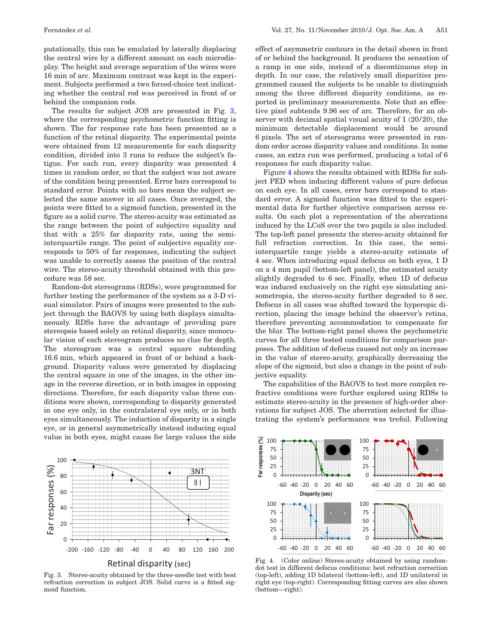putationally, this can be emulated by laterally displacing the central wire by a different amount on each microdisplay. The height and average separation of the wires were 16 min of arc. Maximum contrast was kept in the experiment. Subjects performed a two forced-choice test indicating whether the central rod was perceived in front of or behind the companion rods.

The results for subject JOS are presented in Fig. [3,](#page-3-0) where the corresponding psychometric function fitting is shown. The far response rate has been presented as a function of the retinal disparity. The experimental points were obtained from 12 measurements for each disparity condition, divided into 3 runs to reduce the subject's fatigue. For each run, every disparity was presented 4 times in random order, so that the subject was not aware of the condition being presented. Error bars correspond to standard error. Points with no bars mean the subject selected the same answer in all cases. Once averaged, the points were fitted to a sigmoid function, presented in the figure as a solid curve. The stereo-acuity was estimated as the range between the point of subjective equality and that with a 25% far disparity rate, using the semiinterquartile range. The point of subjective equality corresponds to 50% of far responses, indicating the subject was unable to correctly assess the position of the central wire. The stereo-acuity threshold obtained with this procedure was 58 sec.

Random-dot stereograms (RDSs), were programmed for further testing the performance of the system as a 3-D visual simulator. Pairs of images were presented to the subject through the BAOVS by using both displays simultaneously. RDSs have the advantage of providing pure stereopsis based solely on retinal disparity, since monocular vision of each stereogram produces no clue for depth. The stereogram was a central square subtending 16.6 min, which appeared in front of or behind a background. Disparity values were generated by displacing the central square in one of the images, in the other image in the reverse direction, or in both images in opposing directions. Therefore, for each disparity value three conditions were shown, corresponding to disparity generated in one eye only, in the contralateral eye only, or in both eyes simultaneously. The induction of disparity in a single eye, or in general asymmetrically instead inducing equal value in both eyes, might cause for large values the side

<span id="page-3-0"></span>

Fig. 3. Stereo-acuity obtained by the three-needle test with best refraction correction in subject JOS. Solid curve is a fitted sigmoid function.

effect of asymmetric contours in the detail shown in front of or behind the background. It produces the sensation of a ramp in one side, instead of a discontinuous step in depth. In our case, the relatively small disparities programmed caused the subjects to be unable to distinguish among the three different disparity conditions, as reported in preliminary measurements. Note that an effective pixel subtends 9.96 sec of arc. Therefore, for an observer with decimal spatial visual acuity of 1 (20/20), the minimum detectable displacement would be around 6 pixels. The set of stereograms were presented in random order across disparity values and conditions. In some cases, an extra run was performed, producing a total of 6 responses for each disparity value.

Figure [4](#page-3-1) shows the results obtained with RDSs for subject PED when inducing different values of pure defocus on each eye. In all cases, error bars correspond to standard error. A sigmoid function was fitted to the experimental data for further objective comparison across results. On each plot a representation of the aberrations induced by the LCoS over the two pupils is also included. The top-left panel presents the stereo-acuity obtained for full refraction correction. In this case, the semiinterquartile range yields a stereo-acuity estimate of 4 sec. When introducing equal defocus on both eyes, 1 D on a 4 mm pupil (bottom-left panel), the estimated acuity slightly degraded to 6 sec. Finally, when 1D of defocus was induced exclusively on the right eye simulating anisometropia, the stereo-acuity further degraded to 8 sec. Defocus in all cases was shifted toward the hyperopic direction, placing the image behind the observer's retina, therefore preventing accommodation to compensate for the blur. The bottom-right panel shows the psychometric curves for all three tested conditions for comparison purposes. The addition of defocus caused not only an increase in the value of stereo-acuity, graphically decreasing the slope of the sigmoid, but also a change in the point of subjective equality.

The capabilities of the BAOVS to test more complex refractive conditions were further explored using RDSs to estimate stereo-acuity in the presence of high-order aberrations for subject JOS. The aberration selected for illustrating the system's performance was trefoil. Following

<span id="page-3-1"></span>

Fig. 4. (Color online) Stereo-acuity obtained by using randomdot test in different defocus conditions: best refraction correction (top-left), adding 1D bilateral (bottom-left), and 1D unilateral in right eye (top-right). Corresponding fitting curves are also shown (bottom—right).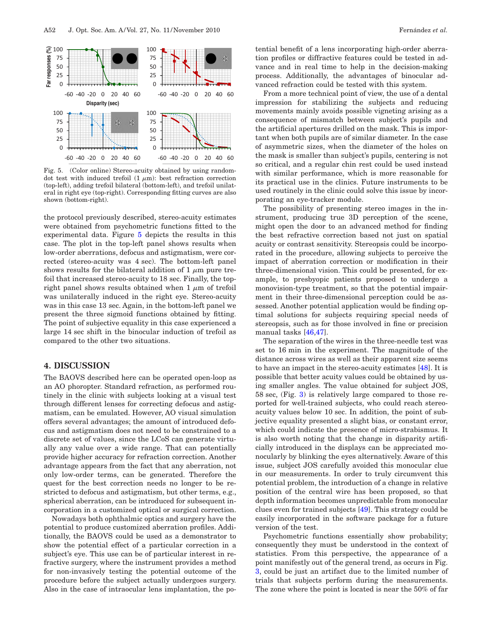<span id="page-4-0"></span>

Fig. 5. (Color online) Stereo-acuity obtained by using randomdot test with induced trefoil  $(1 \mu m)$ : best refraction correction (top-left), adding trefoil bilateral (bottom-left), and trefoil unilateral in right eye (top-right). Corresponding fitting curves are also shown (bottom-right).

the protocol previously described, stereo-acuity estimates were obtained from psychometric functions fitted to the experimental data. Figure [5](#page-4-0) depicts the results in this case. The plot in the top-left panel shows results when low-order aberrations, defocus and astigmatism, were corrected (stereo-acuity was 4 sec). The bottom-left panel shows results for the bilateral addition of 1  $\mu$ m pure trefoil that increased stereo-acuity to 18 sec. Finally, the topright panel shows results obtained when 1  $\mu$ m of trefoil was unilaterally induced in the right eye. Stereo-acuity was in this case 13 sec. Again, in the bottom-left panel we present the three sigmoid functions obtained by fitting. The point of subjective equality in this case experienced a large 14 sec shift in the binocular induction of trefoil as compared to the other two situations.

## **4. DISCUSSION**

The BAOVS described here can be operated open-loop as an AO phoropter. Standard refraction, as performed routinely in the clinic with subjects looking at a visual test through different lenses for correcting defocus and astigmatism, can be emulated. However, AO visual simulation offers several advantages; the amount of introduced defocus and astigmatism does not need to be constrained to a discrete set of values, since the LCoS can generate virtually any value over a wide range. That can potentially provide higher accuracy for refraction correction. Another advantage appears from the fact that any aberration, not only low-order terms, can be generated. Therefore the quest for the best correction needs no longer to be restricted to defocus and astigmatism, but other terms, e.g., spherical aberration, can be introduced for subsequent incorporation in a customized optical or surgical correction.

Nowadays both ophthalmic optics and surgery have the potential to produce customized aberration profiles. Additionally, the BAOVS could be used as a demonstrator to show the potential effect of a particular correction in a subject's eye. This use can be of particular interest in refractive surgery, where the instrument provides a method for non-invasively testing the potential outcome of the procedure before the subject actually undergoes surgery. Also in the case of intraocular lens implantation, the potential benefit of a lens incorporating high-order aberration profiles or diffractive features could be tested in advance and in real time to help in the decision-making process. Additionally, the advantages of binocular advanced refraction could be tested with this system.

From a more technical point of view, the use of a dental impression for stabilizing the subjects and reducing movements mainly avoids possible vigneting arising as a consequence of mismatch between subject's pupils and the artificial apertures drilled on the mask. This is important when both pupils are of similar diameter. In the case of asymmetric sizes, when the diameter of the holes on the mask is smaller than subject's pupils, centering is not so critical, and a regular chin rest could be used instead with similar performance, which is more reasonable for its practical use in the clinics. Future instruments to be used routinely in the clinic could solve this issue by incorporating an eye-tracker module.

The possibility of presenting stereo images in the instrument, producing true 3D perception of the scene, might open the door to an advanced method for finding the best refractive correction based not just on spatial acuity or contrast sensitivity. Stereopsis could be incorporated in the procedure, allowing subjects to perceive the impact of aberration correction or modification in their three-dimensional vision. This could be presented, for example, to presbyopic patients proposed to undergo a monovision-type treatment, so that the potential impairment in their three-dimensional perception could be assessed. Another potential application would be finding optimal solutions for subjects requiring special needs of stereopsis, such as for those involved in fine or precision manual tasks [\[46](#page-7-7)[,47\]](#page-7-8).

The separation of the wires in the three-needle test was set to 16 min in the experiment. The magnitude of the distance across wires as well as their apparent size seems to have an impact in the stereo-acuity estimates [\[48\]](#page-7-9). It is possible that better acuity values could be obtained by using smaller angles. The value obtained for subject JOS, 58 sec, (Fig. [3\)](#page-3-0) is relatively large compared to those reported for well-trained subjects, who could reach stereoacuity values below 10 sec. In addition, the point of subjective equality presented a slight bias, or constant error, which could indicate the presence of micro-strabismus. It is also worth noting that the change in disparity artificially introduced in the displays can be appreciated monocularly by blinking the eyes alternatively. Aware of this issue, subject JOS carefully avoided this monocular clue in our measurements. In order to truly circumvent this potential problem, the introduction of a change in relative position of the central wire has been proposed, so that depth information becomes unpredictable from monocular clues even for trained subjects [\[49\]](#page-7-10). This strategy could be easily incorporated in the software package for a future version of the test.

Psychometric functions essentially show probability; consequently they must be understood in the context of statistics. From this perspective, the appearance of a point manifestly out of the general trend, as occurs in Fig. [3,](#page-3-0) could be just an artifact due to the limited number of trials that subjects perform during the measurements. The zone where the point is located is near the 50% of far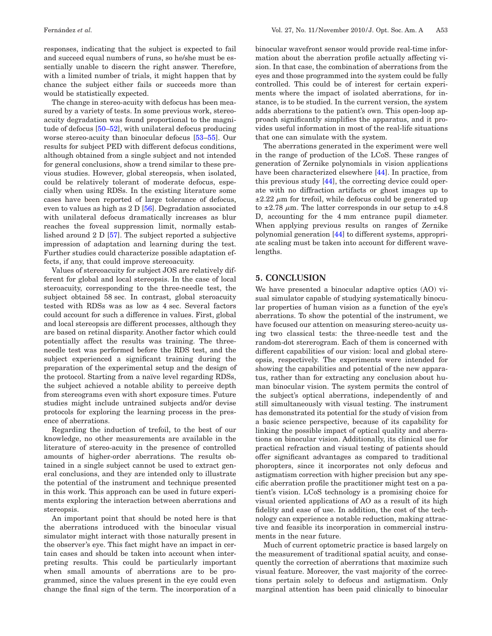responses, indicating that the subject is expected to fail and succeed equal numbers of runs, so he/she must be essentially unable to discern the right answer. Therefore, with a limited number of trials, it might happen that by chance the subject either fails or succeeds more than would be statistically expected.

The change in stereo-acuity with defocus has been measured by a variety of tests. In some previous work, stereoacuity degradation was found proportional to the magnitude of defocus [\[50–](#page-7-11)[52\]](#page-7-12), with unilateral defocus producing worse stereo-acuity than binocular defocus [\[53](#page-7-13)[–55\]](#page-7-14). Our results for subject PED with different defocus conditions, although obtained from a single subject and not intended for general conclusions, show a trend similar to these previous studies. However, global stereopsis, when isolated, could be relatively tolerant of moderate defocus, especially when using RDSs. In the existing literature some cases have been reported of large tolerance of defocus, even to values as high as  $2D$  [\[56\]](#page-7-15). Degradation associated with unilateral defocus dramatically increases as blur reaches the foveal suppression limit, normally established around  $2 D [57]$  $2 D [57]$ . The subject reported a subjective impression of adaptation and learning during the test. Further studies could characterize possible adaptation effects, if any, that could improve stereoacuity.

Values of stereoacuity for subject JOS are relatively different for global and local stereopsis. In the case of local steroacuity, corresponding to the three-needle test, the subject obtained 58 sec. In contrast, global steroacuity tested with RDSs was as low as 4 sec. Several factors could account for such a difference in values. First, global and local stereopsis are different processes, although they are based on retinal disparity. Another factor which could potentially affect the results was training. The threeneedle test was performed before the RDS test, and the subject experienced a significant training during the preparation of the experimental setup and the design of the protocol. Starting from a naïve level regarding RDSs, the subject achieved a notable ability to perceive depth from stereograms even with short exposure times. Future studies might include untrained subjects and/or devise protocols for exploring the learning process in the presence of aberrations.

Regarding the induction of trefoil, to the best of our knowledge, no other measurements are available in the literature of stereo-acuity in the presence of controlled amounts of higher-order aberrations. The results obtained in a single subject cannot be used to extract general conclusions, and they are intended only to illustrate the potential of the instrument and technique presented in this work. This approach can be used in future experiments exploring the interaction between aberrations and stereopsis.

An important point that should be noted here is that the aberrations introduced with the binocular visual simulator might interact with those naturally present in the observer's eye. This fact might have an impact in certain cases and should be taken into account when interpreting results. This could be particularly important when small amounts of aberrations are to be programmed, since the values present in the eye could even change the final sign of the term. The incorporation of a

binocular wavefront sensor would provide real-time information about the aberration profile actually affecting vision. In that case, the combination of aberrations from the eyes and those programmed into the system could be fully controlled. This could be of interest for certain experiments where the impact of isolated aberrations, for instance, is to be studied. In the current version, the system adds aberrations to the patient's own. This open-loop approach significantly simplifies the apparatus, and it provides useful information in most of the real-life situations that one can simulate with the system.

The aberrations generated in the experiment were well in the range of production of the LCoS. These ranges of generation of Zernike polynomials in vision applications have been characterized elsewhere [\[44\]](#page-7-5). In practice, from this previous study [\[44\]](#page-7-5), the correcting device could operate with no diffraction artifacts or ghost images up to  $\pm 2.22 \mu$ m for trefoil, while defocus could be generated up to  $\pm 2.78 \mu$ m. The latter corresponds in our setup to  $\pm 4.8$ D, accounting for the 4 mm entrance pupil diameter. When applying previous results on ranges of Zernike polynomial generation [\[44\]](#page-7-5) to different systems, appropriate scaling must be taken into account for different wavelengths.

## **5. CONCLUSION**

We have presented a binocular adaptive optics (AO) visual simulator capable of studying systematically binocular properties of human vision as a function of the eye's aberrations. To show the potential of the instrument, we have focused our attention on measuring stereo-acuity using two classical tests: the three-needle test and the random-dot stererogram. Each of them is concerned with different capabilities of our vision: local and global stereopsis, respectively. The experiments were intended for showing the capabilities and potential of the new apparatus, rather than for extracting any conclusion about human binocular vision. The system permits the control of the subject's optical aberrations, independently of and still simultaneously with visual testing. The instrument has demonstrated its potential for the study of vision from a basic science perspective, because of its capability for linking the possible impact of optical quality and aberrations on binocular vision. Additionally, its clinical use for practical refraction and visual testing of patients should offer significant advantages as compared to traditional phoropters, since it incorporates not only defocus and astigmatism correction with higher precision but any specific aberration profile the practitioner might test on a patient's vision. LCoS technology is a promising choice for visual oriented applications of AO as a result of its high fidelity and ease of use. In addition, the cost of the technology can experience a notable reduction, making attractive and feasible its incorporation in commercial instruments in the near future.

Much of current optometric practice is based largely on the measurement of traditional spatial acuity, and consequently the correction of aberrations that maximize such visual feature. Moreover, the vast majority of the corrections pertain solely to defocus and astigmatism. Only marginal attention has been paid clinically to binocular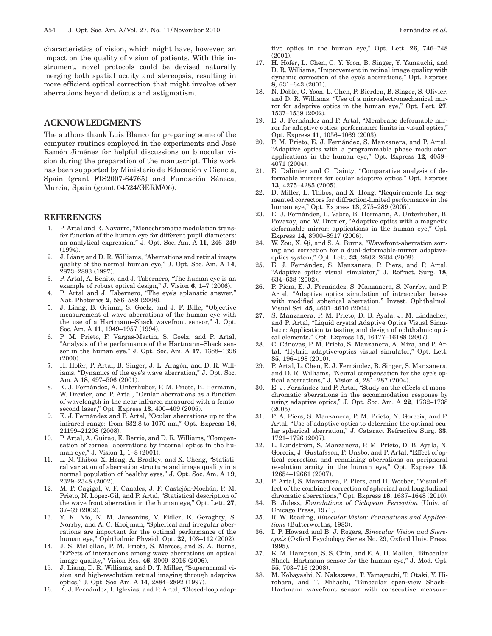characteristics of vision, which might have, however, an impact on the quality of vision of patients. With this instrument, novel protocols could be devised naturally merging both spatial acuity and stereopsis, resulting in more efficient optical correction that might involve other aberrations beyond defocus and astigmatism.

# **ACKNOWLEDGMENTS**

The authors thank Luis Blanco for preparing some of the computer routines employed in the experiments and José Ramón Jiménez for helpful discussions on binocular vision during the preparation of the manuscript. This work has been supported by Ministerio de Educación y Ciencia, Spain (grant FIS2007-64765) and Fundación Séneca, Murcia, Spain (grant 04524/GERM/06).

#### <span id="page-6-0"></span>**REFERENCES**

- 1. P. Artal and R. Navarro, "Monochromatic modulation transfer function of the human eye for different pupil diameters: an analytical expression," J. Opt. Soc. Am. A **11**, 246–249 (1994).
- 2. J. Liang and D. R. Williams, "Aberrations and retinal image quality of the normal human eye," J. Opt. Soc. Am. A **14**, 2873–2883 (1997).
- 3. P. Artal, A. Benito, and J. Tabernero, "The human eye is an example of robust optical design," J. Vision **6**, 1–7 (2006).
- <span id="page-6-1"></span>4. P. Artal and J. Tabernero, "The eye's aplanatic answer," Nat. Photonics **2**, 586–589 (2008).
- <span id="page-6-2"></span>5. J. Liang, B. Grimm, S. Goelz, and J. F. Bille, "Objective measurement of wave aberrations of the human eye with the use of a Hartmann–Shack wavefront sensor," J. Opt. Soc. Am. A **11**, 1949–1957 (1994).
- 6. P. M. Prieto, F. Vargas-Martín, S. Goelz, and P. Artal, "Analysis of the performance of the Hartmann–Shack sensor in the human eye," J. Opt. Soc. Am. A **17**, 1388–1398 (2000).
- 7. H. Hofer, P. Artal, B. Singer, J. L. Aragón, and D. R. Williams, "Dynamics of the eye's wave aberration," J. Opt. Soc. Am. A **18**, 497–506 (2001).
- 8. E. J. Fernández, A. Unterhuber, P. M. Prieto, B. Hermann, W. Drexler, and P. Artal, "Ocular aberrations as a function of wavelength in the near infrared measured with a femtosecond laser," Opt. Express **13**, 400–409 (2005).
- <span id="page-6-3"></span>9. E. J. Fernández and P. Artal, "Ocular aberrations up to the infrared range: from 632.8 to 1070 nm," Opt. Express **16**, 21199–21208 (2008).
- <span id="page-6-4"></span>10. P. Artal, A. Guirao, E. Berrio, and D. R. Williams, "Compensation of corneal aberrations by internal optics in the human eye," J. Vision **1**, 1–8 (2001).
- 11. L. N. Thibos, X. Hong, A. Bradley, and X. Cheng, "Statistical variation of aberration structure and image quality in a normal population of healthy eyes," J. Opt. Soc. Am. A **19**, 2329–2348 (2002).
- 12. M. P. Cagigal, V. F. Canales, J. F. Castejón-Mochón, P. M. Prieto, N. López-Gil, and P. Artal, "Statistical description of the wave front aberration in the human eye," Opt. Lett. **27**, 37–39 (2002).
- 13. Y. K. Nio, N. M. Jansonius, V. Fidler, E. Geraghty, S. Norrby, and A. C. Kooijman, "Spherical and irregular aberrations are important for the optimal performance of the human eye," Ophthalmic Physiol. Opt. **22**, 103–112 (2002).
- <span id="page-6-5"></span>14. J. S. McLellan, P. M. Prieto, S. Marcos, and S. A. Burns, "Effects of interactions among wave aberrations on optical image quality," Vision Res. **46**, 3009–3016 (2006).
- <span id="page-6-6"></span>15. J. Liang, D. R. Williams, and D. T. Miller, "Supernormal vision and high-resolution retinal imaging through adaptive optics," J. Opt. Soc. Am. A **14**, 2884–2892 (1997).
- 16. E. J. Fernández, I. Iglesias, and P. Artal, "Closed-loop adap-

tive optics in the human eye," Opt. Lett. **26**, 746–748  $(2001)$ 

- 17. H. Hofer, L. Chen, G. Y. Yoon, B. Singer, Y. Yamauchi, and D. R. Williams, "Improvement in retinal image quality with dynamic correction of the eye's aberrations," Opt. Express **8**, 631–643 (2001).
- 18. N. Doble, G. Yoon, L. Chen, P. Bierden, B. Singer, S. Olivier, and D. R. Williams, "Use of a microelectromechanical mirror for adaptive optics in the human eye," Opt. Lett. **27**, 1537–1539 (2002).
- 19. E. J. Fernández and P. Artal, "Membrane deformable mirror for adaptive optics: performance limits in visual optics," Opt. Express **11**, 1056–1069 (2003).
- <span id="page-6-16"></span>20. P. M. Prieto, E. J. Fernández, S. Manzanera, and P. Artal, "Adaptive optics with a programmable phase modulator: applications in the human eye," Opt. Express **12**, 4059– 4071 (2004).
- 21. E. Dalimier and C. Dainty, "Comparative analysis of deformable mirrors for ocular adaptive optics," Opt. Express **13**, 4275–4285 (2005).
- 22. D. Miller, L. Thibos, and X. Hong, "Requirements for segmented correctors for diffraction-limited performance in the human eye," Opt. Express **13**, 275–289 (2005).
- 23. E. J. Fernández, L. Vabre, B. Hermann, A. Unterhuber, B. Povazay, and W. Drexler, "Adaptive optics with a magnetic deformable mirror: applications in the human eye," Opt. Express **14**, 8900–8917 (2006).
- <span id="page-6-7"></span>24. W. Zou, X. Qi, and S. A. Burns, "Wavefront-aberration sorting and correction for a dual-deformable-mirror adaptiveoptics system," Opt. Lett. **33**, 2602–2604 (2008).
- <span id="page-6-8"></span>25. E. J. Fernández, S. Manzanera, P. Piers, and P. Artal, "Adaptive optics visual simulator," J. Refract. Surg. **18**, 634–638 (2002).
- 26. P. Piers, E. J. Fernández, S. Manzanera, S. Norrby, and P. Artal, "Adaptive optics simulation of intraocular lenses with modified spherical aberration," Invest. Ophthalmol. Visual Sci. **45**, 4601–4610 (2004).
- 27. S. Manzanera, P. M. Prieto, D. B. Ayala, J. M. Lindacher, and P. Artal, "Liquid crystal Adaptive Optics Visual Simulator: Application to testing and design of ophthalmic optical elements," Opt. Express **15**, 16177–16188 (2007).
- <span id="page-6-9"></span>28. C. Cánovas, P. M. Prieto, S. Manzanera, A. Mira, and P. Artal, "Hybrid adaptive-optics visual simulator," Opt. Lett. **35**, 196–198 (2010).
- <span id="page-6-10"></span>29. P. Artal, L. Chen, E. J. Fernández, B. Singer, S. Manzanera, and D. R. Williams, "Neural compensation for the eye's optical aberrations," J. Vision **4**, 281–287 (2004).
- 30. E. J. Fernández and P. Artal, "Study on the effects of monochromatic aberrations in the accommodation response by using adaptive optics," J. Opt. Soc. Am. A **22**, 1732–1738 (2005).
- 31. P. A. Piers, S. Manzanera, P. M. Prieto, N. Gorceix, and P. Artal, "Use of adaptive optics to determine the optimal ocular spherical aberration," J. Cataract Refractive Surg. **33**, 1721–1726 (2007).
- 32. L. Lundström, S. Manzanera, P. M. Prieto, D. B. Ayala, N. Gorceix, J. Gustafsson, P. Unsbo, and P. Artal, "Effect of optical correction and remaining aberrations on peripheral resolution acuity in the human eye," Opt. Express **15**, 12654–12661 (2007).
- <span id="page-6-11"></span>33. P. Artal, S. Manzanera, P. Piers, and H. Weeber, "Visual effect of the combined correction of spherical and longitudinal chromatic aberrations," Opt. Express **18**, 1637–1648 (2010).
- <span id="page-6-12"></span>34. B. Julesz, *Foundations of Ciclopean Perception* (Univ. of Chicago Press, 1971).
- 35. R. W. Reading, *Binocular Vision: Foundations and Applications* (Butterworths, 1983).
- <span id="page-6-13"></span>36. I. P. Howard and B. J. Rogers, *Binocular Vision and Stereopsis* (Oxford Psychology Series No. 29, Oxford Univ. Press, 1995).
- <span id="page-6-14"></span>37. K. M. Hampson, S. S. Chin, and E. A. H. Mallen, "Binocular Shack–Hartmann sensor for the human eye," J. Mod. Opt. **55**, 703–716 (2008).
- <span id="page-6-15"></span>38. M. Kobayashi, N. Nakazawa, T. Yamaguchi, T. Otaki, Y. Hirohara, and T. Mihashi, "Binocular open-view Shack– Hartmann wavefront sensor with consecutive measure-